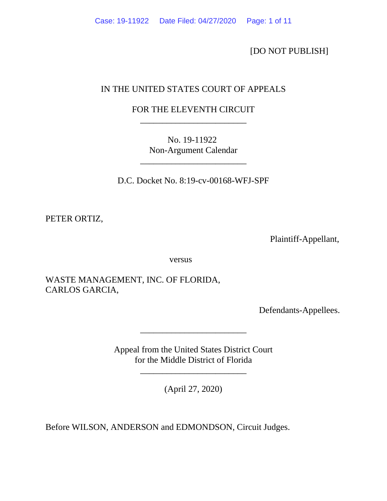[DO NOT PUBLISH]

# IN THE UNITED STATES COURT OF APPEALS

# FOR THE ELEVENTH CIRCUIT \_\_\_\_\_\_\_\_\_\_\_\_\_\_\_\_\_\_\_\_\_\_\_\_

No. 19-11922 Non-Argument Calendar

\_\_\_\_\_\_\_\_\_\_\_\_\_\_\_\_\_\_\_\_\_\_\_\_

D.C. Docket No. 8:19-cv-00168-WFJ-SPF

PETER ORTIZ,

Plaintiff-Appellant,

versus

WASTE MANAGEMENT, INC. OF FLORIDA, CARLOS GARCIA,

Defendants-Appellees.

Appeal from the United States District Court for the Middle District of Florida

\_\_\_\_\_\_\_\_\_\_\_\_\_\_\_\_\_\_\_\_\_\_\_\_

(April 27, 2020)

\_\_\_\_\_\_\_\_\_\_\_\_\_\_\_\_\_\_\_\_\_\_\_\_

Before WILSON, ANDERSON and EDMONDSON, Circuit Judges.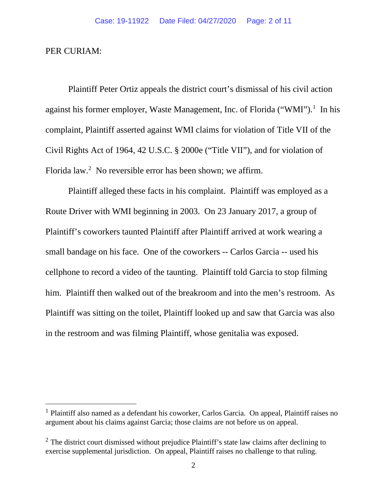### PER CURIAM:

Plaintiff Peter Ortiz appeals the district court's dismissal of his civil action against his former employer, Waste Management, Inc. of Florida ("WMI").<sup>[1](#page-1-0)</sup> In his complaint, Plaintiff asserted against WMI claims for violation of Title VII of the Civil Rights Act of 1964, 42 U.S.C. § 2000e ("Title VII"), and for violation of Florida law.<sup>[2](#page-1-1)</sup> No reversible error has been shown; we affirm.

Plaintiff alleged these facts in his complaint. Plaintiff was employed as a Route Driver with WMI beginning in 2003. On 23 January 2017, a group of Plaintiff's coworkers taunted Plaintiff after Plaintiff arrived at work wearing a small bandage on his face. One of the coworkers -- Carlos Garcia -- used his cellphone to record a video of the taunting. Plaintiff told Garcia to stop filming him. Plaintiff then walked out of the breakroom and into the men's restroom. As Plaintiff was sitting on the toilet, Plaintiff looked up and saw that Garcia was also in the restroom and was filming Plaintiff, whose genitalia was exposed.

<span id="page-1-0"></span> $<sup>1</sup>$  Plaintiff also named as a defendant his coworker, Carlos Garcia. On appeal, Plaintiff raises no</sup> argument about his claims against Garcia; those claims are not before us on appeal.

<span id="page-1-1"></span> $2$  The district court dismissed without prejudice Plaintiff's state law claims after declining to exercise supplemental jurisdiction. On appeal, Plaintiff raises no challenge to that ruling.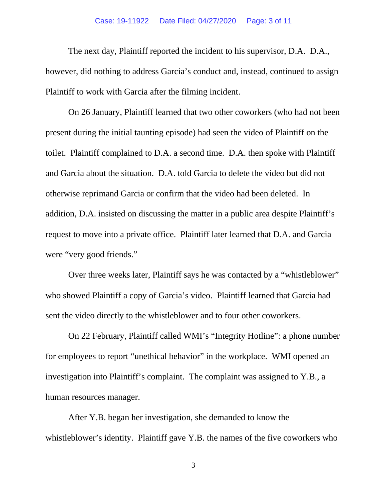### Case: 19-11922 Date Filed: 04/27/2020 Page: 3 of 11

The next day, Plaintiff reported the incident to his supervisor, D.A. D.A., however, did nothing to address Garcia's conduct and, instead, continued to assign Plaintiff to work with Garcia after the filming incident.

On 26 January, Plaintiff learned that two other coworkers (who had not been present during the initial taunting episode) had seen the video of Plaintiff on the toilet. Plaintiff complained to D.A. a second time. D.A. then spoke with Plaintiff and Garcia about the situation. D.A. told Garcia to delete the video but did not otherwise reprimand Garcia or confirm that the video had been deleted. In addition, D.A. insisted on discussing the matter in a public area despite Plaintiff's request to move into a private office. Plaintiff later learned that D.A. and Garcia were "very good friends."

Over three weeks later, Plaintiff says he was contacted by a "whistleblower" who showed Plaintiff a copy of Garcia's video. Plaintiff learned that Garcia had sent the video directly to the whistleblower and to four other coworkers.

On 22 February, Plaintiff called WMI's "Integrity Hotline": a phone number for employees to report "unethical behavior" in the workplace. WMI opened an investigation into Plaintiff's complaint. The complaint was assigned to Y.B., a human resources manager.

After Y.B. began her investigation, she demanded to know the whistleblower's identity. Plaintiff gave Y.B. the names of the five coworkers who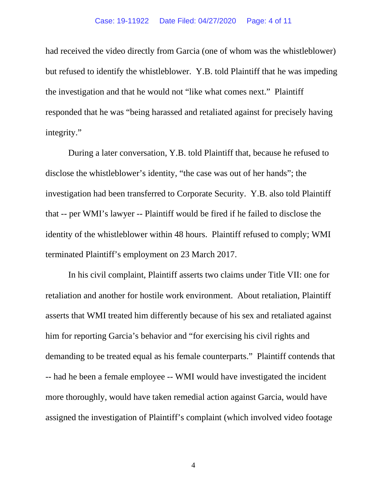had received the video directly from Garcia (one of whom was the whistleblower) but refused to identify the whistleblower. Y.B. told Plaintiff that he was impeding the investigation and that he would not "like what comes next." Plaintiff responded that he was "being harassed and retaliated against for precisely having integrity."

During a later conversation, Y.B. told Plaintiff that, because he refused to disclose the whistleblower's identity, "the case was out of her hands"; the investigation had been transferred to Corporate Security. Y.B. also told Plaintiff that -- per WMI's lawyer -- Plaintiff would be fired if he failed to disclose the identity of the whistleblower within 48 hours. Plaintiff refused to comply; WMI terminated Plaintiff's employment on 23 March 2017.

In his civil complaint, Plaintiff asserts two claims under Title VII: one for retaliation and another for hostile work environment. About retaliation, Plaintiff asserts that WMI treated him differently because of his sex and retaliated against him for reporting Garcia's behavior and "for exercising his civil rights and demanding to be treated equal as his female counterparts." Plaintiff contends that -- had he been a female employee -- WMI would have investigated the incident more thoroughly, would have taken remedial action against Garcia, would have assigned the investigation of Plaintiff's complaint (which involved video footage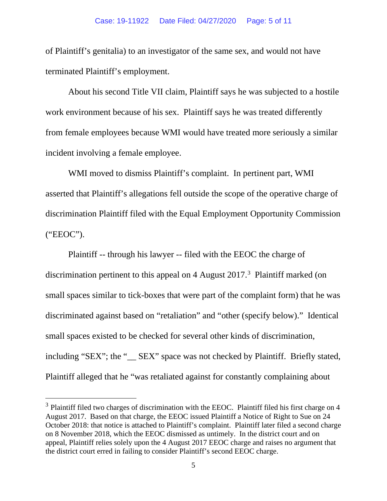of Plaintiff's genitalia) to an investigator of the same sex, and would not have terminated Plaintiff's employment.

About his second Title VII claim, Plaintiff says he was subjected to a hostile work environment because of his sex. Plaintiff says he was treated differently from female employees because WMI would have treated more seriously a similar incident involving a female employee.

WMI moved to dismiss Plaintiff's complaint. In pertinent part, WMI asserted that Plaintiff's allegations fell outside the scope of the operative charge of discrimination Plaintiff filed with the Equal Employment Opportunity Commission ("EEOC").

Plaintiff -- through his lawyer -- filed with the EEOC the charge of discrimination pertinent to this appeal on 4 August 2017.<sup>[3](#page-4-0)</sup> Plaintiff marked (on small spaces similar to tick-boxes that were part of the complaint form) that he was discriminated against based on "retaliation" and "other (specify below)." Identical small spaces existed to be checked for several other kinds of discrimination, including "SEX"; the "\_\_ SEX" space was not checked by Plaintiff. Briefly stated, Plaintiff alleged that he "was retaliated against for constantly complaining about

<span id="page-4-0"></span><sup>&</sup>lt;sup>3</sup> Plaintiff filed two charges of discrimination with the EEOC. Plaintiff filed his first charge on 4 August 2017. Based on that charge, the EEOC issued Plaintiff a Notice of Right to Sue on 24 October 2018: that notice is attached to Plaintiff's complaint. Plaintiff later filed a second charge on 8 November 2018, which the EEOC dismissed as untimely. In the district court and on appeal, Plaintiff relies solely upon the 4 August 2017 EEOC charge and raises no argument that the district court erred in failing to consider Plaintiff's second EEOC charge.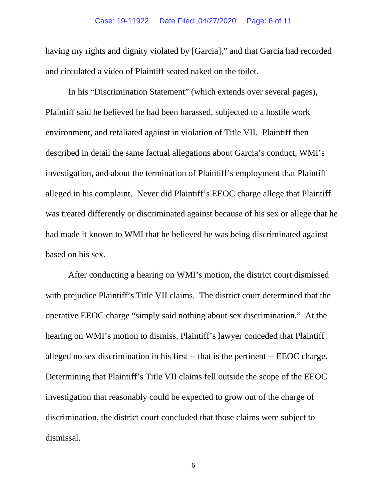having my rights and dignity violated by [Garcia]," and that Garcia had recorded and circulated a video of Plaintiff seated naked on the toilet.

In his "Discrimination Statement" (which extends over several pages), Plaintiff said he believed he had been harassed, subjected to a hostile work environment, and retaliated against in violation of Title VII. Plaintiff then described in detail the same factual allegations about Garcia's conduct, WMI's investigation, and about the termination of Plaintiff's employment that Plaintiff alleged in his complaint. Never did Plaintiff's EEOC charge allege that Plaintiff was treated differently or discriminated against because of his sex or allege that he had made it known to WMI that he believed he was being discriminated against based on his sex.

After conducting a hearing on WMI's motion, the district court dismissed with prejudice Plaintiff's Title VII claims. The district court determined that the operative EEOC charge "simply said nothing about sex discrimination." At the hearing on WMI's motion to dismiss, Plaintiff's lawyer conceded that Plaintiff alleged no sex discrimination in his first -- that is the pertinent -- EEOC charge. Determining that Plaintiff's Title VII claims fell outside the scope of the EEOC investigation that reasonably could be expected to grow out of the charge of discrimination, the district court concluded that those claims were subject to dismissal.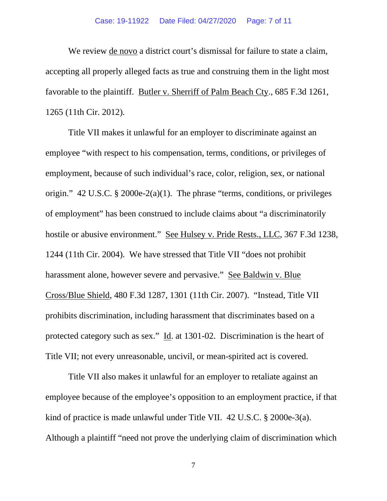### Case: 19-11922 Date Filed: 04/27/2020 Page: 7 of 11

We review de novo a district court's dismissal for failure to state a claim, accepting all properly alleged facts as true and construing them in the light most favorable to the plaintiff. Butler v. Sherriff of Palm Beach Cty., 685 F.3d 1261, 1265 (11th Cir. 2012).

Title VII makes it unlawful for an employer to discriminate against an employee "with respect to his compensation, terms, conditions, or privileges of employment, because of such individual's race, color, religion, sex, or national origin." 42 U.S.C. § 2000e-2(a)(1). The phrase "terms, conditions, or privileges of employment" has been construed to include claims about "a discriminatorily hostile or abusive environment." See Hulsey v. Pride Rests., LLC, 367 F.3d 1238, 1244 (11th Cir. 2004). We have stressed that Title VII "does not prohibit harassment alone, however severe and pervasive." See Baldwin v. Blue Cross/Blue Shield, 480 F.3d 1287, 1301 (11th Cir. 2007). "Instead, Title VII prohibits discrimination, including harassment that discriminates based on a protected category such as sex." Id. at 1301-02. Discrimination is the heart of Title VII; not every unreasonable, uncivil, or mean-spirited act is covered.

Title VII also makes it unlawful for an employer to retaliate against an employee because of the employee's opposition to an employment practice, if that kind of practice is made unlawful under Title VII. 42 U.S.C. § 2000e-3(a). Although a plaintiff "need not prove the underlying claim of discrimination which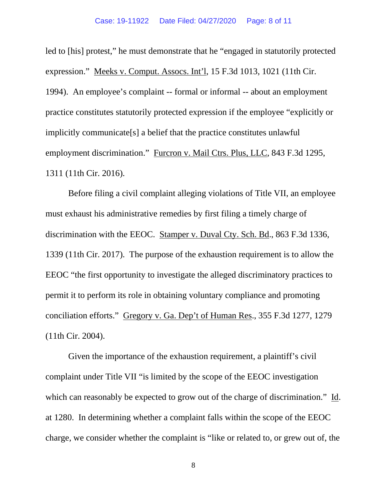led to [his] protest," he must demonstrate that he "engaged in statutorily protected expression." Meeks v. Comput. Assocs. Int'l, 15 F.3d 1013, 1021 (11th Cir. 1994). An employee's complaint -- formal or informal -- about an employment practice constitutes statutorily protected expression if the employee "explicitly or implicitly communicate[s] a belief that the practice constitutes unlawful employment discrimination." Furcron v. Mail Ctrs. Plus, LLC, 843 F.3d 1295, 1311 (11th Cir. 2016).

Before filing a civil complaint alleging violations of Title VII, an employee must exhaust his administrative remedies by first filing a timely charge of discrimination with the EEOC. Stamper v. Duval Cty. Sch. Bd., 863 F.3d 1336, 1339 (11th Cir. 2017). The purpose of the exhaustion requirement is to allow the EEOC "the first opportunity to investigate the alleged discriminatory practices to permit it to perform its role in obtaining voluntary compliance and promoting conciliation efforts." Gregory v. Ga. Dep't of Human Res., 355 F.3d 1277, 1279 (11th Cir. 2004).

Given the importance of the exhaustion requirement, a plaintiff's civil complaint under Title VII "is limited by the scope of the EEOC investigation which can reasonably be expected to grow out of the charge of discrimination." Id. at 1280. In determining whether a complaint falls within the scope of the EEOC charge, we consider whether the complaint is "like or related to, or grew out of, the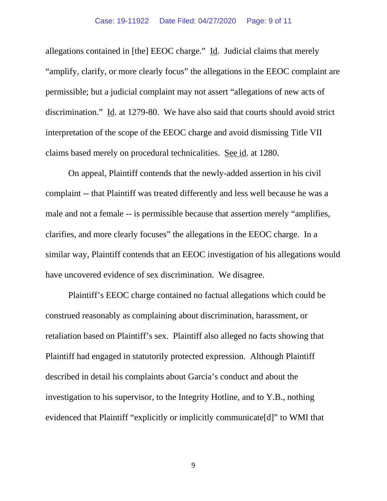#### Case: 19-11922 Date Filed: 04/27/2020 Page: 9 of 11

allegations contained in [the] EEOC charge." Id. Judicial claims that merely "amplify, clarify, or more clearly focus" the allegations in the EEOC complaint are permissible; but a judicial complaint may not assert "allegations of new acts of discrimination." Id. at 1279-80. We have also said that courts should avoid strict interpretation of the scope of the EEOC charge and avoid dismissing Title VII claims based merely on procedural technicalities. See id. at 1280.

On appeal, Plaintiff contends that the newly-added assertion in his civil complaint -- that Plaintiff was treated differently and less well because he was a male and not a female -- is permissible because that assertion merely "amplifies, clarifies, and more clearly focuses" the allegations in the EEOC charge. In a similar way, Plaintiff contends that an EEOC investigation of his allegations would have uncovered evidence of sex discrimination. We disagree.

Plaintiff's EEOC charge contained no factual allegations which could be construed reasonably as complaining about discrimination, harassment, or retaliation based on Plaintiff's sex. Plaintiff also alleged no facts showing that Plaintiff had engaged in statutorily protected expression. Although Plaintiff described in detail his complaints about Garcia's conduct and about the investigation to his supervisor, to the Integrity Hotline, and to Y.B., nothing evidenced that Plaintiff "explicitly or implicitly communicate[d]" to WMI that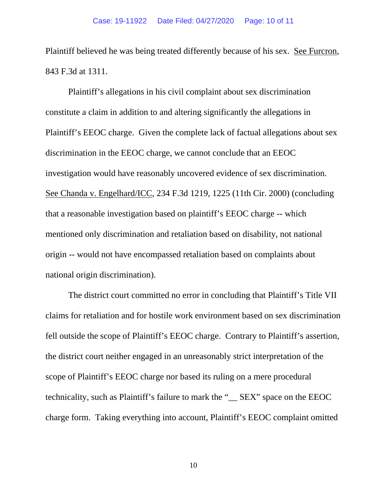Plaintiff believed he was being treated differently because of his sex. See Furcron, 843 F.3d at 1311.

Plaintiff's allegations in his civil complaint about sex discrimination constitute a claim in addition to and altering significantly the allegations in Plaintiff's EEOC charge. Given the complete lack of factual allegations about sex discrimination in the EEOC charge, we cannot conclude that an EEOC investigation would have reasonably uncovered evidence of sex discrimination. See Chanda v. Engelhard/ICC, 234 F.3d 1219, 1225 (11th Cir. 2000) (concluding that a reasonable investigation based on plaintiff's EEOC charge -- which mentioned only discrimination and retaliation based on disability, not national origin -- would not have encompassed retaliation based on complaints about national origin discrimination).

The district court committed no error in concluding that Plaintiff's Title VII claims for retaliation and for hostile work environment based on sex discrimination fell outside the scope of Plaintiff's EEOC charge. Contrary to Plaintiff's assertion, the district court neither engaged in an unreasonably strict interpretation of the scope of Plaintiff's EEOC charge nor based its ruling on a mere procedural technicality, such as Plaintiff's failure to mark the "\_\_ SEX" space on the EEOC charge form. Taking everything into account, Plaintiff's EEOC complaint omitted